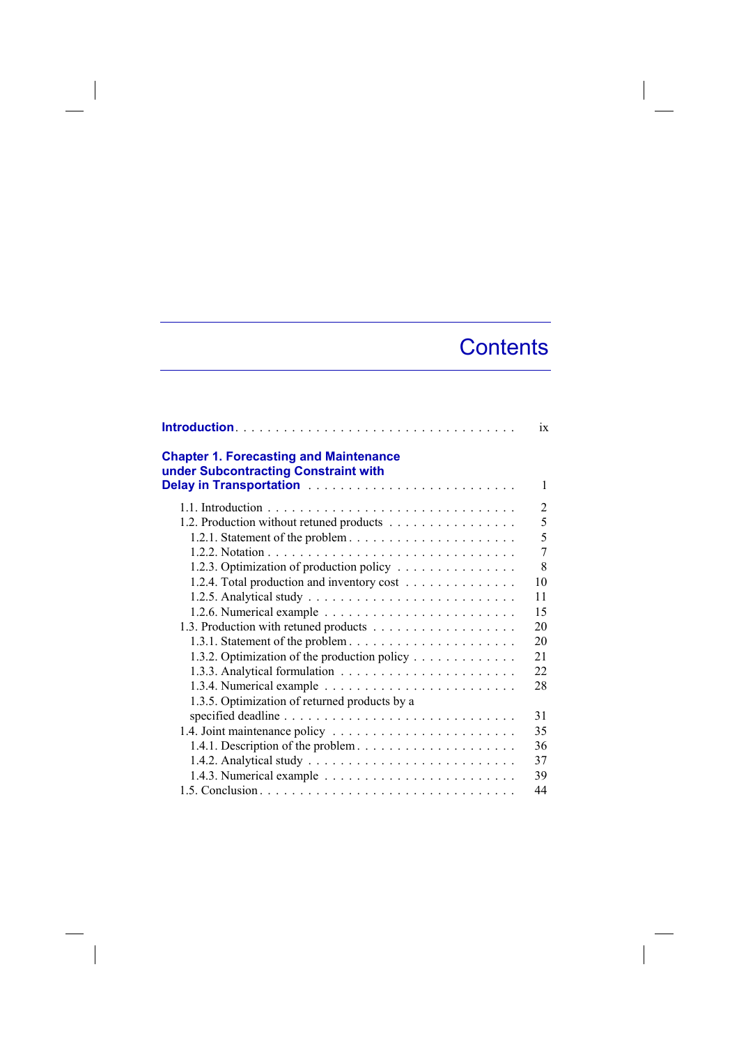## **Contents**

|                                                                                       | ix |
|---------------------------------------------------------------------------------------|----|
| <b>Chapter 1. Forecasting and Maintenance</b><br>under Subcontracting Constraint with | 1  |
|                                                                                       | 2  |
| 1.2. Production without retuned products                                              | 5  |
| 1.2.1. Statement of the problem $\dots \dots \dots \dots \dots \dots \dots \dots$     | 5  |
|                                                                                       | 7  |
| 1.2.3. Optimization of production policy                                              | 8  |
| 1.2.4. Total production and inventory cost                                            | 10 |
|                                                                                       | 11 |
|                                                                                       | 15 |
|                                                                                       | 20 |
|                                                                                       | 20 |
| 1.3.2. Optimization of the production policy                                          | 21 |
|                                                                                       | 22 |
|                                                                                       | 28 |
| 1.3.5. Optimization of returned products by a                                         |    |
|                                                                                       | 31 |
|                                                                                       | 35 |
|                                                                                       | 36 |
|                                                                                       | 37 |
|                                                                                       | 39 |
|                                                                                       | 44 |

 $\overline{\phantom{a}}$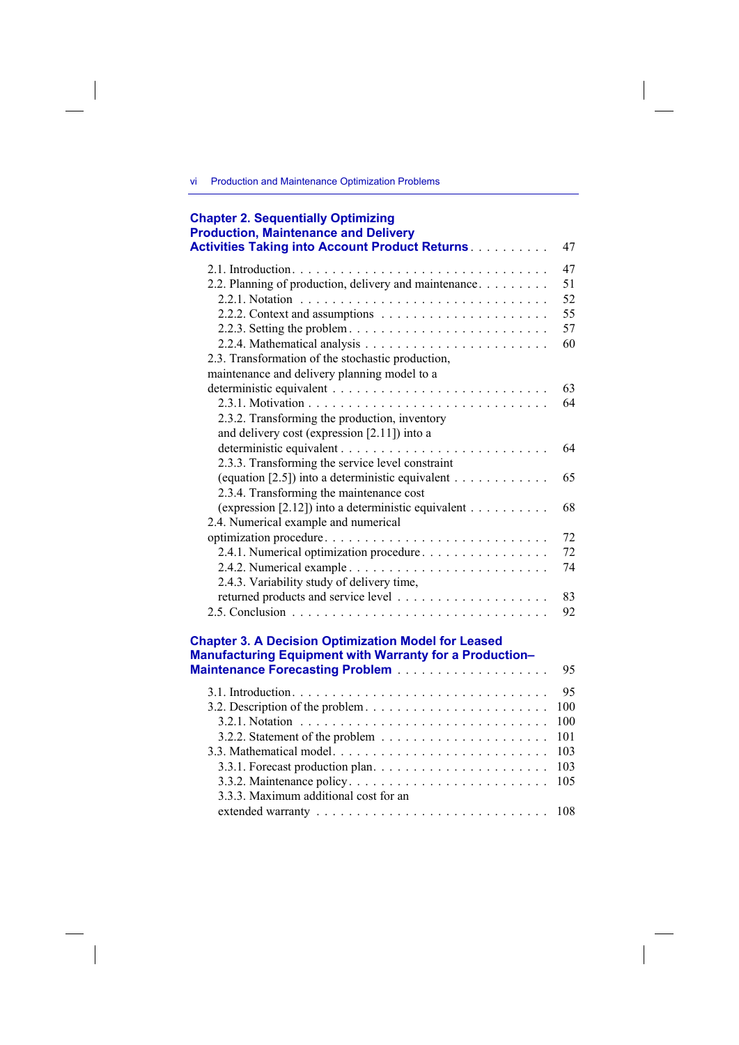vi Production and Maintenance Optimization Problems

 $\overline{\phantom{a}}$ 

 $\overline{\phantom{a}}$ 

| <b>Chapter 2. Sequentially Optimizing</b><br><b>Production, Maintenance and Delivery</b><br><b>Activities Taking into Account Product Returns</b> | 47  |
|---------------------------------------------------------------------------------------------------------------------------------------------------|-----|
|                                                                                                                                                   | 47  |
| 2.2. Planning of production, delivery and maintenance                                                                                             | 51  |
|                                                                                                                                                   | 52  |
|                                                                                                                                                   | 55  |
| 2.2.3. Setting the problem. $\ldots \ldots \ldots \ldots \ldots \ldots \ldots$                                                                    | 57  |
|                                                                                                                                                   | 60  |
| 2.3. Transformation of the stochastic production,                                                                                                 |     |
| maintenance and delivery planning model to a                                                                                                      |     |
|                                                                                                                                                   | 63  |
|                                                                                                                                                   | 64  |
|                                                                                                                                                   |     |
| 2.3.2. Transforming the production, inventory                                                                                                     |     |
| and delivery cost (expression [2.11]) into a                                                                                                      |     |
|                                                                                                                                                   | 64  |
| 2.3.3. Transforming the service level constraint                                                                                                  |     |
| (equation [2.5]) into a deterministic equivalent $\dots \dots \dots$                                                                              | 65  |
| 2.3.4. Transforming the maintenance cost                                                                                                          |     |
| (expression [2.12]) into a deterministic equivalent $\dots \dots \dots$                                                                           | 68  |
| 2.4. Numerical example and numerical                                                                                                              |     |
| optimization procedure                                                                                                                            | 72  |
| 2.4.1. Numerical optimization procedure                                                                                                           | 72  |
|                                                                                                                                                   | 74  |
| 2.4.3. Variability study of delivery time,                                                                                                        |     |
|                                                                                                                                                   | 83  |
|                                                                                                                                                   | 92  |
| <b>Chapter 3. A Decision Optimization Model for Leased</b><br>Manufacturing Equipment with Warranty for a Production-                             | 95  |
|                                                                                                                                                   | 95  |
| 3.2. Description of the problem                                                                                                                   | 100 |
|                                                                                                                                                   | 100 |
| 3.2.2. Statement of the problem $\dots \dots \dots \dots \dots \dots \dots$                                                                       | 101 |
|                                                                                                                                                   | 103 |
|                                                                                                                                                   | 103 |
|                                                                                                                                                   | 105 |
| 3.3.3. Maximum additional cost for an                                                                                                             |     |
|                                                                                                                                                   | 108 |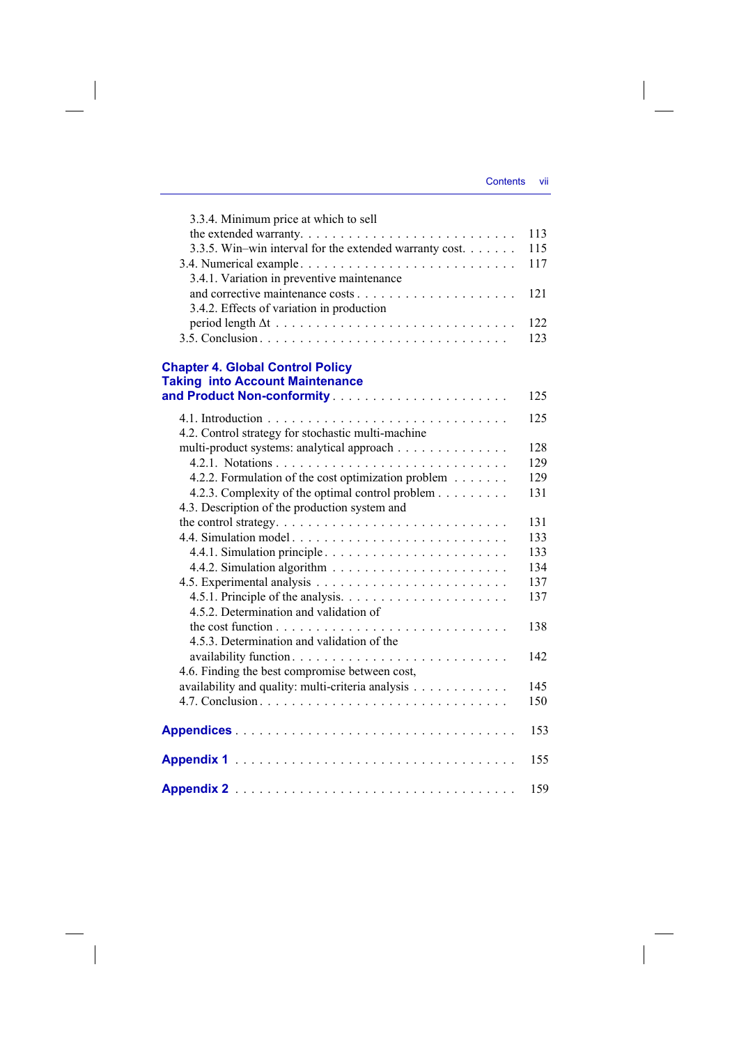$\overline{\phantom{a}}$ 

| 3.3.4. Minimum price at which to sell                   |     |
|---------------------------------------------------------|-----|
|                                                         | 113 |
| 3.3.5. Win-win interval for the extended warranty cost. | 115 |
|                                                         | 117 |
| 3.4.1. Variation in preventive maintenance              |     |
|                                                         | 121 |
| 3.4.2. Effects of variation in production               |     |
|                                                         | 122 |
|                                                         | 123 |
|                                                         |     |
| <b>Chapter 4. Global Control Policy</b>                 |     |
| <b>Taking into Account Maintenance</b>                  | 125 |
|                                                         |     |
|                                                         | 125 |
| 4.2. Control strategy for stochastic multi-machine      |     |
| multi-product systems: analytical approach              | 128 |
|                                                         | 129 |
| 4.2.2. Formulation of the cost optimization problem     | 129 |
| 4.2.3. Complexity of the optimal control problem        | 131 |
| 4.3. Description of the production system and           |     |
|                                                         | 131 |
| 4.4. Simulation model                                   | 133 |
|                                                         | 133 |
|                                                         | 134 |
|                                                         | 137 |
|                                                         | 137 |
| 4.5.2. Determination and validation of                  |     |
|                                                         | 138 |
| 4.5.3. Determination and validation of the              |     |
|                                                         | 142 |
| 4.6. Finding the best compromise between cost,          |     |
| availability and quality: multi-criteria analysis       | 145 |
|                                                         | 150 |
|                                                         | 153 |
|                                                         | 155 |
|                                                         | 159 |

 $\overline{\phantom{a}}$ 

 $\begin{array}{c} \hline \end{array}$